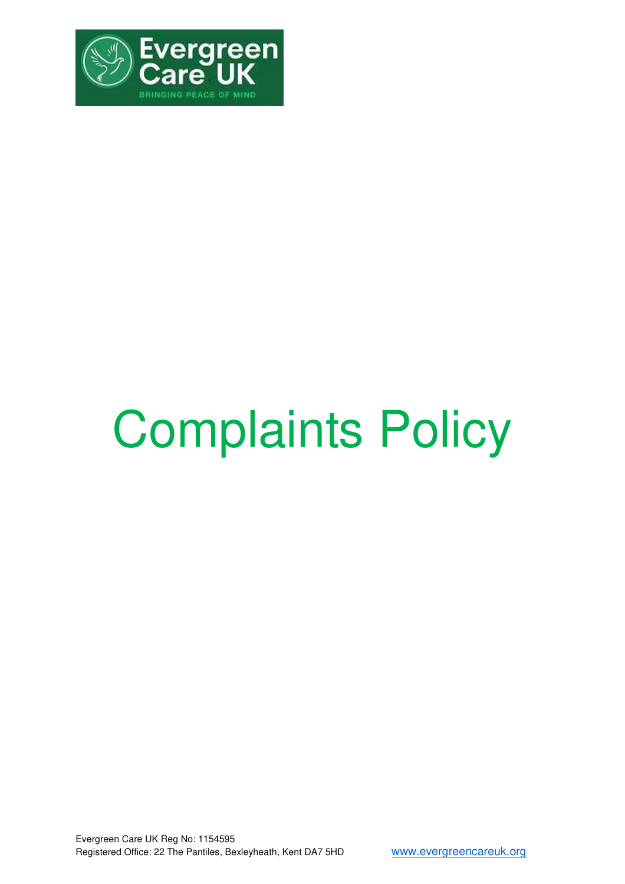

# Complaints Policy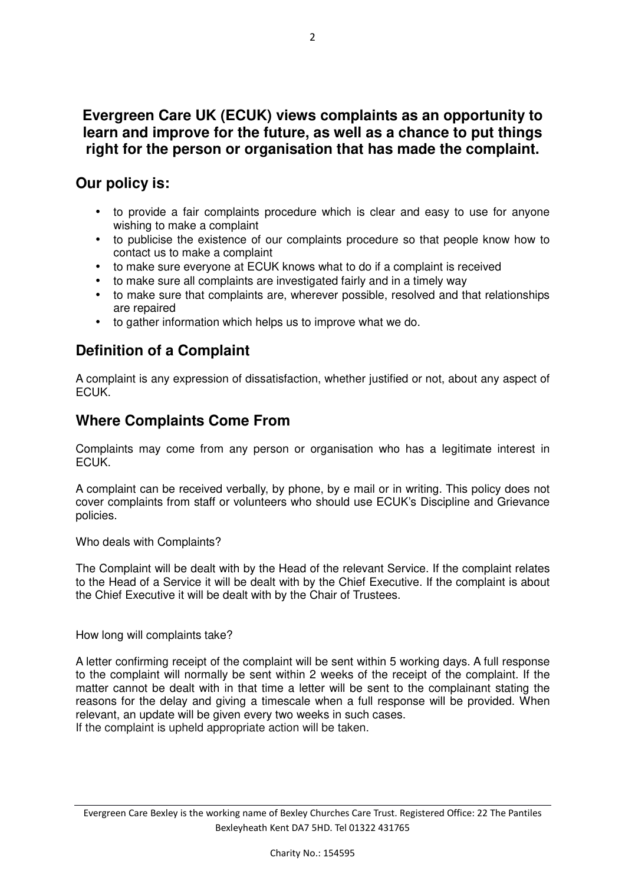## **Evergreen Care UK (ECUK) views complaints as an opportunity to learn and improve for the future, as well as a chance to put things right for the person or organisation that has made the complaint.**

## **Our policy is:**

- to provide a fair complaints procedure which is clear and easy to use for anyone wishing to make a complaint
- to publicise the existence of our complaints procedure so that people know how to contact us to make a complaint
- to make sure everyone at ECUK knows what to do if a complaint is received
- to make sure all complaints are investigated fairly and in a timely way
- to make sure that complaints are, wherever possible, resolved and that relationships are repaired
- to gather information which helps us to improve what we do.

## **Definition of a Complaint**

A complaint is any expression of dissatisfaction, whether justified or not, about any aspect of ECUK.

## **Where Complaints Come From**

Complaints may come from any person or organisation who has a legitimate interest in ECUK.

A complaint can be received verbally, by phone, by e mail or in writing. This policy does not cover complaints from staff or volunteers who should use ECUK's Discipline and Grievance policies.

#### Who deals with Complaints?

The Complaint will be dealt with by the Head of the relevant Service. If the complaint relates to the Head of a Service it will be dealt with by the Chief Executive. If the complaint is about the Chief Executive it will be dealt with by the Chair of Trustees.

#### How long will complaints take?

A letter confirming receipt of the complaint will be sent within 5 working days. A full response to the complaint will normally be sent within 2 weeks of the receipt of the complaint. If the matter cannot be dealt with in that time a letter will be sent to the complainant stating the reasons for the delay and giving a timescale when a full response will be provided. When relevant, an update will be given every two weeks in such cases. If the complaint is upheld appropriate action will be taken.

Evergreen Care Bexley is the working name of Bexley Churches Care Trust. Registered Office: 22 The Pantiles Bexleyheath Kent DA7 5HD. Tel 01322 431765